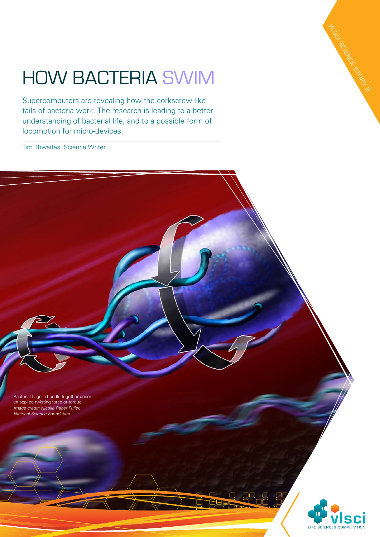## How bacteria swim

Supercomputers are revealing how the corkscrew-like tails of bacteria work. The research is leading to a better understanding of bacterial life, and to a possible form of locomotion for micro-devices.

Tim Thwaites, Science Writer

Bacterial flagella bundle together under an applied twisting force or torque *Image credit: Nicolle Rager Fuller, National Science Foundation*



VLSCI SCIENCE STORY 2